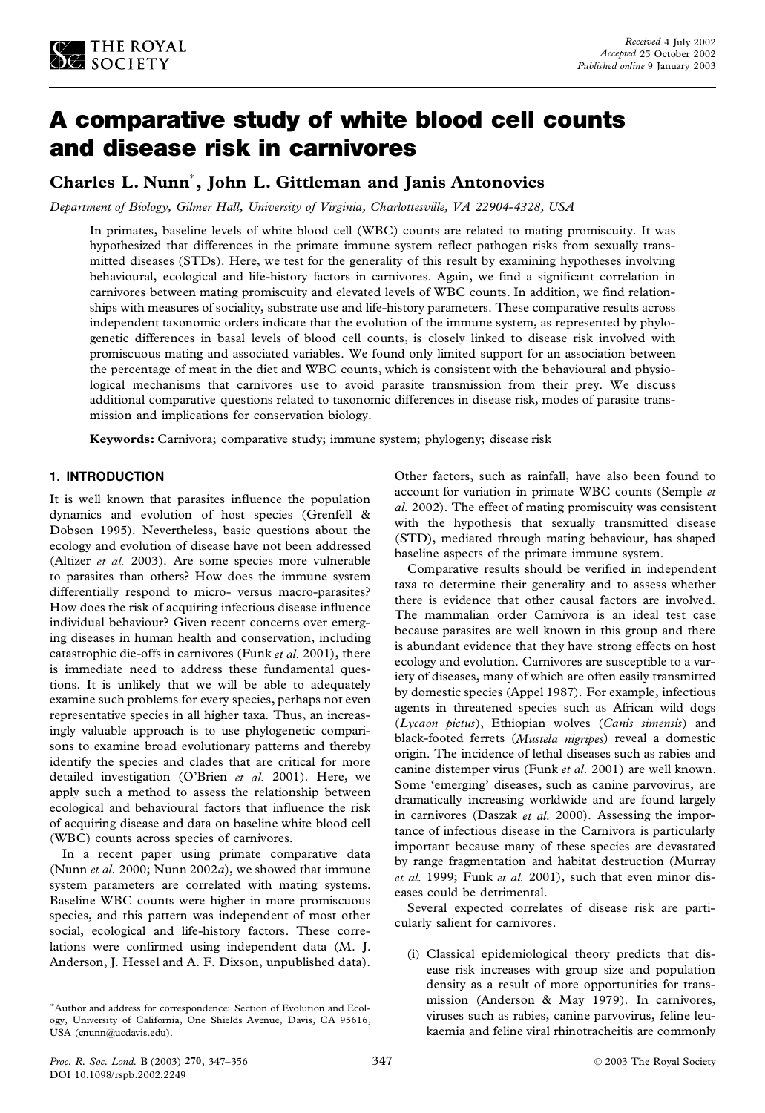

# A comparative study of white blood cell counts and disease risk in carnivores

# **Charles L. Nunn**\* **, John L. Gittleman and Janis Antonovics**

*Department of Biology, Gilmer Hall, University of Virginia, Charlottesville, VA 22904-4328, USA*

In primates, baseline levels of white blood cell (WBC) counts are related to mating promiscuity. It was hypothesized that differences in the primate immune system reflect pathogen risks from sexually transmitted diseases (STDs). Here, we test for the generality of this result by examining hypotheses involving behavioural, ecological and life-history factors in carnivores. Again, we find a significant correlation in carnivores between mating promiscuity and elevated levels of WBC counts. In addition, we find relationships with measures of sociality, substrate use and life-history parameters. These comparative results across independent taxonomic orders indicate that the evolution of the immune system, as represented by phylogenetic differences in basal levels of blood cell counts, is closely linked to disease risk involved with promiscuous mating and associated variables. We found only limited support for an association between the percentage of meat in the diet and WBC counts, which is consistent with the behavioural and physiological mechanisms that carnivores use to avoid parasite transmission from their prey. We discuss additional comparative questions related to taxonomic differences in disease risk, modes of parasite transmission and implications for conservation biology.

**Keywords:** Carnivora; comparative study; immune system; phylogeny; disease risk

# **1. INTRODUCTION**

It is well known that parasites influence the population dynamics and evolution of host species (Grenfell & Dobson 1995). Nevertheless, basic questions about the ecology and evolution of disease have not been addressed (Altizer *et al.* 2003). Are some species more vulnerable to parasites than others? How does the immune system differentially respond to micro- versus macro-parasites? How does the risk of acquiring infectious disease influence individual behaviour? Given recent concerns over emerging diseases in human health and conservation, including catastrophic die-offs in carnivores (Funk *et al.* 2001), there is immediate need to address these fundamental questions. It is unlikely that we will be able to adequately examine such problems for every species, perhaps not even representative species in all higher taxa. Thus, an increasingly valuable approach is to use phylogenetic compari sons to examine broad evolutionary patterns and thereby identify the species and clades that are critical for more detailed investigation (O'Brien *et al.* 2001). Here, we apply such a method to assess the relationship between ecological and behavioural factors that influence the risk of acquiring disease and data on baseline white blood cell (WBC) counts across species of carnivores.

In a recent paper using primate comparative data (Nunn *et al.* 2000; Nunn 2002*a*), we showed that immune system parameters are correlated with mating systems. Baseline WBC counts were higher in more promiscuous species, and this pattern was independent of most other social, ecological and life-history factors. These correlations were confirmed using independent data (M. J. Anderson, J. Hessel and A. F. Dixson, unpublished data).

\*Author and address for correspondence: Section of Evolution and Ecology, University of California, One Shields Avenue, Davis, CA 95616, USA (cnunn@ucdavis.edu).

Other factors, such as rainfall, have also been found to account for variation in primate WBC counts (Semple *et al.* 2002). The effect of mating promiscuity was consistent with the hypothesis that sexually transmitted disease (STD), mediated through mating behaviour, has shaped baseline aspects of the primate immune system.

Comparative results should be verified in independent taxa to determine their generality and to assess whether there is evidence that other causal factors are involved. The mammalian order Carnivora is an ideal test case because parasites are well known in this group and there is abundant evidence that they have strong effects on host ecology and evolution. Carnivores are susceptible to a variety of diseases, many of which are often easily transmitted by domestic species (Appel 1987). For example, infectious agents in threatened species such as African wild dogs (*Lycaon pictus*), Ethiopian wolves (*Canis simensis*) and black-footed ferrets (*Mustela nigripes*) reveal a domestic origin. The incidence of lethal diseases such as rabies and canine distemper virus (Funk *et al.* 2001) are well known. Some 'emerging' diseases, such as canine parvovirus, are dramatically increasing worldwide and are found largely in carnivores (Daszak *et al.* 2000). Assessing the importance of infectious disease in the Carnivora is particularly important because many of these species are devastated by range fragmentation and habitat destruction (Murray *et al.* 1999; Funk *et al.* 2001), such that even minor dis eases could be detrimental.

Several expected correlates of disease risk are particularly salient for carnivores.

(i) Classical epidemiological theory predicts that dis ease risk increases with group size and population density as a result of more opportunities for transmission (Anderson & May 1979). In carnivores, viruses such as rabies, canine parvovirus, feline leukaemia and feline viral rhinotracheitis are commonly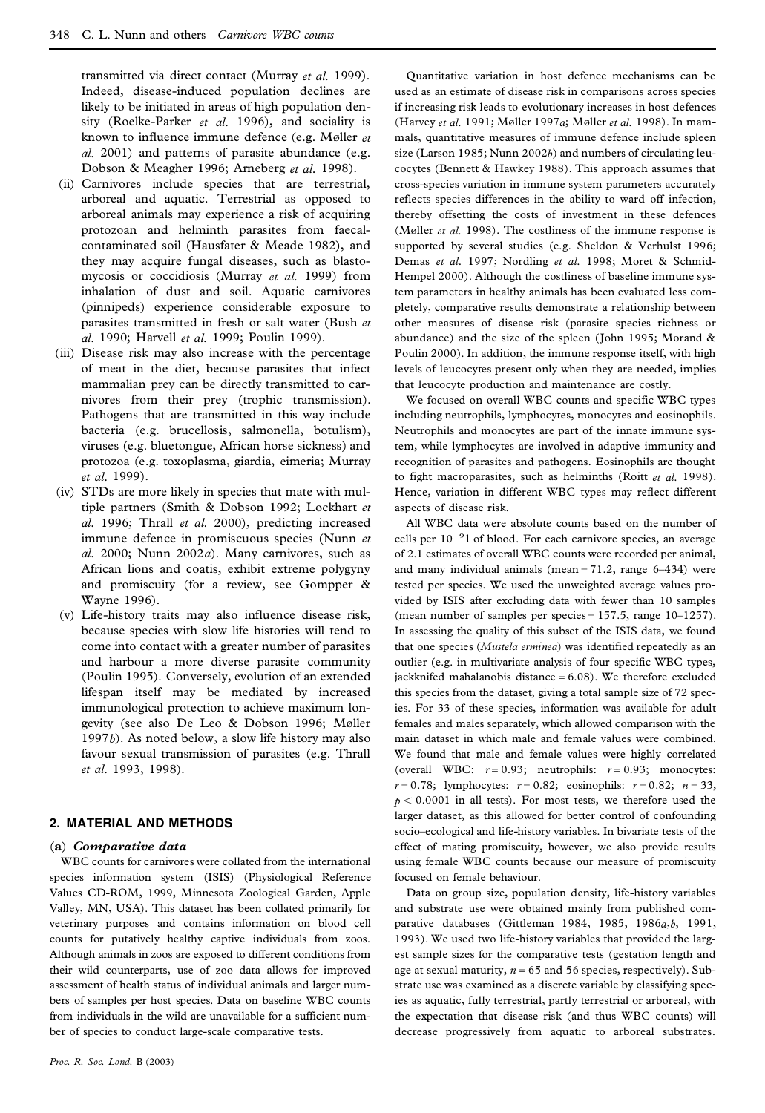transmitted via direct contact (Murray *et al.* 1999). Indeed, disease-induced population declines are likely to be initiated in areas of high population density (Roelke-Parker *et al.* 1996), and sociality is known to influence immune defence (e.g. Møller *et al.* 2001) and patterns of parasite abundance (e.g. Dobson & Meagher 1996; Arneberg *et al.* 1998).

- (ii) Carnivores include species that are terrestrial, arboreal and aquatic. Terrestrial as opposed to arboreal animals may experience a risk of acquiring protozoan and helminth parasites from faecalcontaminated soil (Hausfater & Meade 1982), and they may acquire fungal diseases, such as blastomycosis or coccidiosis (Murray *et al.* 1999) from inhalation of dust and soil. Aquatic carnivores (pinnipeds) experience considerable exposure to parasites transmitted in fresh or salt water (Bush *et al.* 1990; Harvell *et al.* 1999; Poulin 1999).
- (iii) Disease risk may also increase with the percentage of meat in the diet, because parasites that infect mammalian prey can be directly transmitted to car nivores from their prey (trophic transmission). Pathogens that are transmitted in this way include bacteria (e.g. brucellosis, salmonella, botulism), viruses (e.g. bluetongue, African horse sickness) and protozoa (e.g. toxoplasma, giardia, eimeria; Murray *et al.* 1999).
- (iv) STDs are more likely in species that mate with multiple partners (Smith & Dobson 1992; Lockhart *et al.* 1996; Thrall *et al.* 2000), predicting increased immune defence in promiscuous species (Nunn *et al.* 2000; Nunn 2002*a*). Many carnivores, such as African lions and coatis, exhibit extreme polygyny and promiscuity (for a review, see Gompper & Wayne 1996).
- (v) Life-history traits may also influence disease risk, because species with slow life histories will tend to come into contact with a greater number of parasites and harbour a more diverse parasite community (Poulin 1995). Conversely, evolution of an extended lifespan itself may be mediated by increased immunological protection to achieve maximum longevity (see also De Leo & Dobson 1996; Møller 1997*b*). As noted below, a slow life history may also favour sexual transmission of parasites (e.g. Thrall *et al.* 1993, 1998).

# **2. MATERIAL AND METHODS**

### (**a**) *Comparative data*

WBC counts for carnivores were collated from the international species information system (ISIS) (Physiological Reference Values CD-ROM, 1999, Minnesota Zoological Garden, Apple Valley, MN, USA). This dataset has been collated primarily for veterinary purposes and contains information on blood cell counts for putatively healthy captive individuals from zoos. Although animals in zoos are exposed to different conditions from their wild counterparts, use of zoo data allows for improved assessment of health status of individual animals and larger num bers of samples per host species. Data on baseline WBC counts from individuals in the wild are unavailable for a sufficient num ber of species to conduct large-scale comparative tests.

Quantitative variation in host defence mechanisms can be used as an estimate of disease risk in comparisons across species if increasing risk leads to evolutionary increases in host defences (Harvey *et al.* 1991; Møller 1997*a*; Møller *et al.* 1998). In mam mals, quantitative measures of immune defence include spleen size (Larson 1985; Nunn 2002*b*) and numbers of circulating leucocytes (Bennett & Hawkey 1988). This approach assumes that cross-species variation in immune system parameters accurately reflects species differences in the ability to ward off infection, thereby offsetting the costs of investment in these defences (Møller *et al.* 1998). The costliness of the immune response is supported by several studies (e.g. Sheldon & Verhulst 1996; Demas *et al.* 1997; Nordling *et al.* 1998; Moret & Schmid-Hempel 2000). Although the costliness of baseline immune system parameters in healthy animals has been evaluated less com pletely, comparative results demonstrate a relationship between other measures of disease risk (parasite species richness or abundance) and the size of the spleen (John 1995; Morand & Poulin 2000). In addition, the immune response itself, with high levels of leucocytes present only when they are needed, implies that leucocyte production and maintenance are costly.

We focused on overall WBC counts and specific WBC types including neutrophils, lymphocytes, monocytes and eosinophils. Neutrophils and monocytes are part of the innate immune system, while lymphocytes are involved in adaptive immunity and recognition of parasites and pathogens. Eosinophils are thought to fight macroparasites, such as helminths (Roitt *et al.* 1998). Hence, variation in different WBC types may reflect different aspects of disease risk.

All WBC data were absolute counts based on the number of cells per 10<sup>-9</sup>1 of blood. For each carnivore species, an average of 2.1 estimates of overall WBC counts were recorded per animal, and many individual animals (mean = 71.2, range 6–434) were tested per species. We used the unweighted average values provided by ISIS after excluding data with fewer than 10 samples (mean number of samples per species = 157.5, range 10–1257). In assessing the quality of this subset of the ISIS data, we found that one species (*Mustela erminea*) was identified repeatedly as an outlier (e.g. in multivariate analysis of four specific WBC types, jackknifed mahalanobis distance  $= 6.08$ ). We therefore excluded this species from the dataset, giving a total sample size of 72 species. For 33 of these species, information was available for adult females and males separately, which allowed comparison with the main dataset in which male and female values were combined. We found that male and female values were highly correlated (overall WBC:  $r = 0.93$ ; neutrophils:  $r = 0.93$ ; monocytes:  $r = 0.78$ ; lymphocytes:  $r = 0.82$ ; eosinophils:  $r = 0.82$ ;  $n = 33$ ,  $p < 0.0001$  in all tests). For most tests, we therefore used the larger dataset, as this allowed for better control of confounding socio–ecological and life-history variables. In bivariate tests of the effect of mating promiscuity, however, we also provide results using female WBC counts because our measure of promiscuity focused on female behaviour.

Data on group size, population density, life-history variables and substrate use were obtained mainly from published com parative databases (Gittleman 1984, 1985, 1986*a*,*b*, 1991, 1993). We used two life-history variables that provided the largest sample sizes for the comparative tests (gestation length and age at sexual maturity,  $n = 65$  and 56 species, respectively). Substrate use was examined as a discrete variable by classifying species as aquatic, fully terrestrial, partly terrestrial or arboreal, with the expectation that disease risk (and thus WBC counts) will decrease progressively from aquatic to arboreal substrates.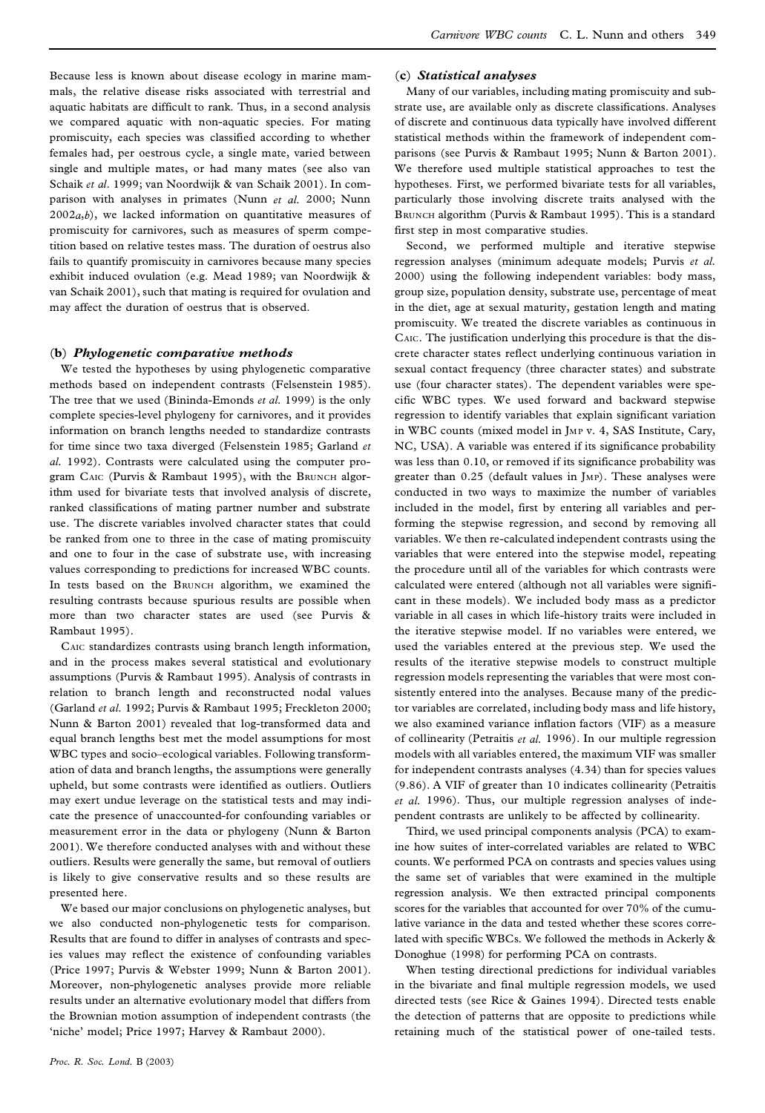Because less is known about disease ecology in marine mam mals, the relative disease risks associated with terrestrial and aquatic habitats are difficult to rank. Thus, in a second analysis we compared aquatic with non-aquatic species. For mating promiscuity, each species was classified according to whether females had, per oestrous cycle, a single mate, varied between single and multiple mates, or had many mates (see also van Schaik *et al*. 1999; van Noordwijk & van Schaik 2001). In com parison with analyses in primates (Nunn *et al.* 2000; Nunn  $2002a,b$ , we lacked information on quantitative measures of promiscuity for carnivores, such as measures of sperm competition based on relative testes mass. The duration of oestrus also fails to quantify promiscuity in carnivores because many species exhibit induced ovulation (e.g. Mead 1989; van Noordwijk & van Schaik 2001), such that mating is required for ovulation and may affect the duration of oestrus that is observed.

### (**b**) *Phylogenetic comparative methods*

We tested the hypotheses by using phylogenetic comparative methods based on independent contrasts (Felsenstein 1985). The tree that we used (Bininda-Emonds *et al.* 1999) is the only complete species-level phylogeny for carnivores, and it provides information on branch lengths needed to standardize contrasts for time since two taxa diverged (Felsenstein 1985; Garland *et al.* 1992). Contrasts were calculated using the computer program CAIC (Purvis & Rambaut 1995), with the BRUNCH algorithm used for bivariate tests that involved analysis of discrete, ranked classifications of mating partner number and substrate use. The discrete variables involved character states that could be ranked from one to three in the case of mating promiscuity and one to four in the case of substrate use, with increasing values corresponding to predictions for increased WBC counts. In tests based on the BRUNCH algorithm, we examined the resulting contrasts because spurious results are possible when more than two character states are used (see Purvis & Rambaut 1995).

CAIC standardizes contrasts using branch length information, and in the process makes several statistical and evolutionary assumptions (Purvis & Rambaut 1995). Analysis of contrasts in relation to branch length and reconstructed nodal values (Garland *et al.* 1992; Purvis & Rambaut 1995; Freckleton 2000; Nunn & Barton 2001) revealed that log-transformed data and equal branch lengths best met the model assumptions for most WBC types and socio–ecological variables. Following transformation of data and branch lengths, the assumptions were generally upheld, but some contrasts were identified as outliers. Outliers may exert undue leverage on the statistical tests and may indicate the presence of unaccounted-for confounding variables or measurement error in the data or phylogeny (Nunn & Barton 2001). We therefore conducted analyses with and without these outliers. Results were generally the same, but removal of outliers is likely to give conservative results and so these results are presented here.

We based our major conclusions on phylogenetic analyses, but we also conducted non-phylogenetic tests for comparison. Results that are found to differ in analyses of contrasts and species values may reflect the existence of confounding variables (Price 1997; Purvis & Webster 1999; Nunn & Barton 2001). Moreover, non-phylogenetic analyses provide more reliable results under an alternative evolutionary model that differs from the Brownian motion assumption of independent contrasts (the 'niche' model; Price 1997; Harvey & Rambaut 2000).

#### (**c**) *Statistical analyses*

Many of our variables, including mating promiscuity and substrate use, are available only as discrete classifications. Analyses of discrete and continuous data typically have involved different statistical methods within the framework of independent com parisons (see Purvis & Rambaut 1995; Nunn & Barton 2001). We therefore used multiple statistical approaches to test the hypotheses. First, we performed bivariate tests for all variables, particularly those involving discrete traits analysed with the Brunch algorithm (Purvis & Rambaut 1995). This is a standard first step in most comparative studies.

Second, we performed multiple and iterative stepwise regression analyses (minimum adequate models; Purvis *et al.* 2000) using the following independent variables: body mass, group size, population density, substrate use, percentage of meat in the diet, age at sexual maturity, gestation length and mating promiscuity. We treated the discrete variables as continuous in Caic. The justification underlying this procedure is that the discrete character states reflect underlying continuous variation in sexual contact frequency (three character states) and substrate use (four character states). The dependent variables were specific WBC types. We used forward and backward stepwise regression to identify variables that explain significant variation in WBC counts (mixed model in Jmp v. 4, SAS Institute, Cary, NC, USA). A variable was entered if its significance probability was less than 0.10, or removed if its significance probability was greater than 0.25 (default values in Jmp). These analyses were conducted in two ways to maximize the number of variables included in the model, first by entering all variables and performing the stepwise regression, and second by removing all variables. We then re-calculated independent contrasts using the variables that were entered into the stepwise model, repeating the procedure until all of the variables for which contrasts were calculated were entered (although not all variables were significant in these models). We included body mass as a predictor variable in all cases in which life-history traits were included in the iterative stepwise model. If no variables were entered, we used the variables entered at the previous step. We used the results of the iterative stepwise models to construct multiple regression models representing the variables that were most consistently entered into the analyses. Because many of the predictor variables are correlated, including body mass and life history, we also examined variance inflation factors (VIF) as a measure of collinearity (Petraitis *et al.* 1996). In our multiple regression models with all variables entered, the maximum VIF was smaller for independent contrasts analyses (4.34) than for species values (9.86). A VIF of greater than 10 indicates collinearity (Petraitis *et al.* 1996). Thus, our multiple regression analyses of independent contrasts are unlikely to be affected by collinearity.

Third, we used principal components analysis (PCA) to examine how suites of inter-correlated variables are related to WBC counts. We performed PCA on contrasts and species values using the same set of variables that were examined in the multiple regression analysis. We then extracted principal components scores for the variables that accounted for over 70% of the cumulative variance in the data and tested whether these scores correlated with specific WBCs. We followed the methods in Ackerly & Donoghue (1998) for performing PCA on contrasts.

When testing directional predictions for individual variables in the bivariate and final multiple regression models, we used directed tests (see Rice & Gaines 1994). Directed tests enable the detection of patterns that are opposite to predictions while retaining much of the statistical power of one-tailed tests.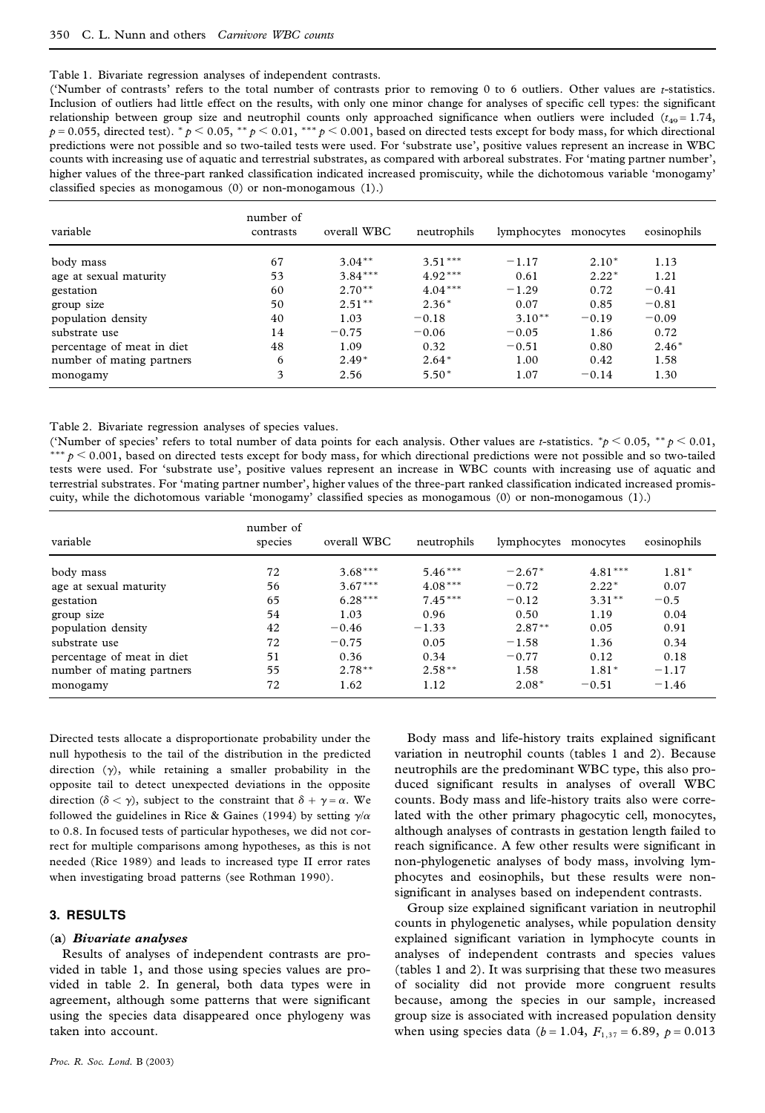Table 1. Bivariate regression analyses of independent contrasts.

('Number of contrasts' refers to the total number of contrasts prior to removing 0 to 6 outliers. Other values are *t*-statistics. Inclusion of outliers had little effect on the results, with only one minor change for analyses of specific cell types: the significant relationship between group size and neutrophil counts only approached significance when outliers were included  $(t_{49} = 1.74,$  $p = 0.055$ , directed test).  $p \le 0.05$ ,  $\binom{p}{k} \le 0.01$ ,  $\binom{p}{k} \le 0.001$ , based on directed tests except for body mass, for which directional predictions were not possible and so two-tailed tests were used. For 'substrate use', positive values represent an increase in WBC counts with increasing use of aquatic and terrestrial substrates, as compared with arboreal substrates. For 'mating partner number', higher values of the three-part ranked classification indicated increased promiscuity, while the dichotomous variable 'monogamy' classified species as monogamous (0) or non-monogamous (1).)

| variable                   | number of<br>contrasts | overall WBC | neutrophils | lymphocytes | monocytes | eosinophils |
|----------------------------|------------------------|-------------|-------------|-------------|-----------|-------------|
| body mass                  | 67                     | $3.04***$   | $3.51***$   | $-1.17$     | $2.10*$   | 1.13        |
| age at sexual maturity     | 53                     | $3.84***$   | $4.92***$   | 0.61        | $2.22*$   | 1.21        |
| gestation                  | 60                     | $2.70**$    | $4.04***$   | $-1.29$     | 0.72      | $-0.41$     |
| group size                 | 50                     | $2.51***$   | $2.36*$     | 0.07        | 0.85      | $-0.81$     |
| population density         | 40                     | 1.03        | $-0.18$     | $3.10**$    | $-0.19$   | $-0.09$     |
| substrate use              | 14                     | $-0.75$     | $-0.06$     | $-0.05$     | 1.86      | 0.72        |
| percentage of meat in diet | 48                     | 1.09        | 0.32        | $-0.51$     | 0.80      | $2.46*$     |
| number of mating partners  | 6                      | $2.49*$     | $2.64*$     | 1.00        | 0.42      | 1.58        |
| monogamy                   | 3                      | 2.56        | $5.50*$     | 1.07        | $-0.14$   | 1.30        |

Table 2. Bivariate regression analyses of species values.

('Number of species' refers to total number of data points for each analysis. Other values are *t*-statistics.  $p < 0.05$ ,  $\binom{p}{k} < 0.01$ ,  $*** p < 0.001$ , based on directed tests except for body mass, for which directional predictions were not possible and so two-tailed tests were used. For 'substrate use', positive values represent an increase in WBC counts with increasing use of aquatic and terrestrial substrates. For 'mating partner number', higher values of the three-part ranked classification indicated increased promiscuity, while the dichotomous variable 'monogamy' classified species as monogamous (0) or non-monogamous (1).)

| variable                   | number of<br>species | overall WBC | neutrophils | lymphocytes monocytes |           | eosinophils |
|----------------------------|----------------------|-------------|-------------|-----------------------|-----------|-------------|
| body mass                  | 72                   | $3.68***$   | $5.46***$   | $-2.67*$              | $4.81***$ | $1.81*$     |
| age at sexual maturity     | 56                   | $3.67***$   | $4.08***$   | $-0.72$               | $2.22*$   | 0.07        |
| gestation                  | 65                   | $6.28***$   | $7.45***$   | $-0.12$               | $3.31***$ | $-0.5$      |
| group size                 | 54                   | 1.03        | 0.96        | 0.50                  | 1.19      | 0.04        |
| population density         | 42                   | $-0.46$     | $-1.33$     | $2.87**$              | 0.05      | 0.91        |
| substrate use              | 72                   | $-0.75$     | 0.05        | $-1.58$               | 1.36      | 0.34        |
| percentage of meat in diet | 51                   | 0.36        | 0.34        | $-0.77$               | 0.12      | 0.18        |
| number of mating partners  | 55                   | $2.78**$    | $2.58**$    | 1.58                  | $1.81*$   | $-1.17$     |
| monogamy                   | 72                   | 1.62        | 1.12        | $2.08*$               | $-0.51$   | $-1.46$     |

Directed tests allocate a disproportionate probability under the null hypothesis to the tail of the distribution in the predicted direction (*g*), while retaining a smaller probability in the opposite tail to detect unexpected deviations in the opposite direction ( $\delta < \gamma$ ), subject to the constraint that  $\delta + \gamma = \alpha$ . We followed the guidelines in Rice & Gaines (1994) by setting  $\gamma/\alpha$ to 0.8. In focused tests of particular hypotheses, we did not correct for multiple comparisons among hypotheses, as this is not needed (Rice 1989) and leads to increased type II error rates when investigating broad patterns (see Rothman 1990).

# **3. RESULTS**

### (**a**) *Bivariate analyses*

Results of analyses of independent contrasts are provided in table 1, and those using species values are provided in table 2. In general, both data types were in agreement, although some patterns that were significant using the species data disappeared once phylogeny was taken into account.

*Proc. R. Soc. Lond.* B (2003)

Body mass and life-history traits explained significant variation in neutrophil counts (tables 1 and 2). Because neutrophils are the predominant WBC type, this also produced significant results in analyses of overall WBC counts. Body mass and life-history traits also were correlated with the other primary phagocytic cell, monocytes, although analyses of contrasts in gestation length failed to reach significance. A few other results were significant in non-phylogenetic analyses of body mass, involving lymphocytes and eosinophils, but these results were non significant in analyses based on independent contrasts.

Group size explained significant variation in neutrophil counts in phylogenetic analyses, while population density explained significant variation in lymphocyte counts in analyses of independent contrasts and species values (tables 1 and 2). It was surprising that these two measures of sociality did not provide more congruent results because, among the species in our sample, increased group size is associated with increased population density when using species data ( $b = 1.04$ ,  $F_{1,37} = 6.89$ ,  $p = 0.013$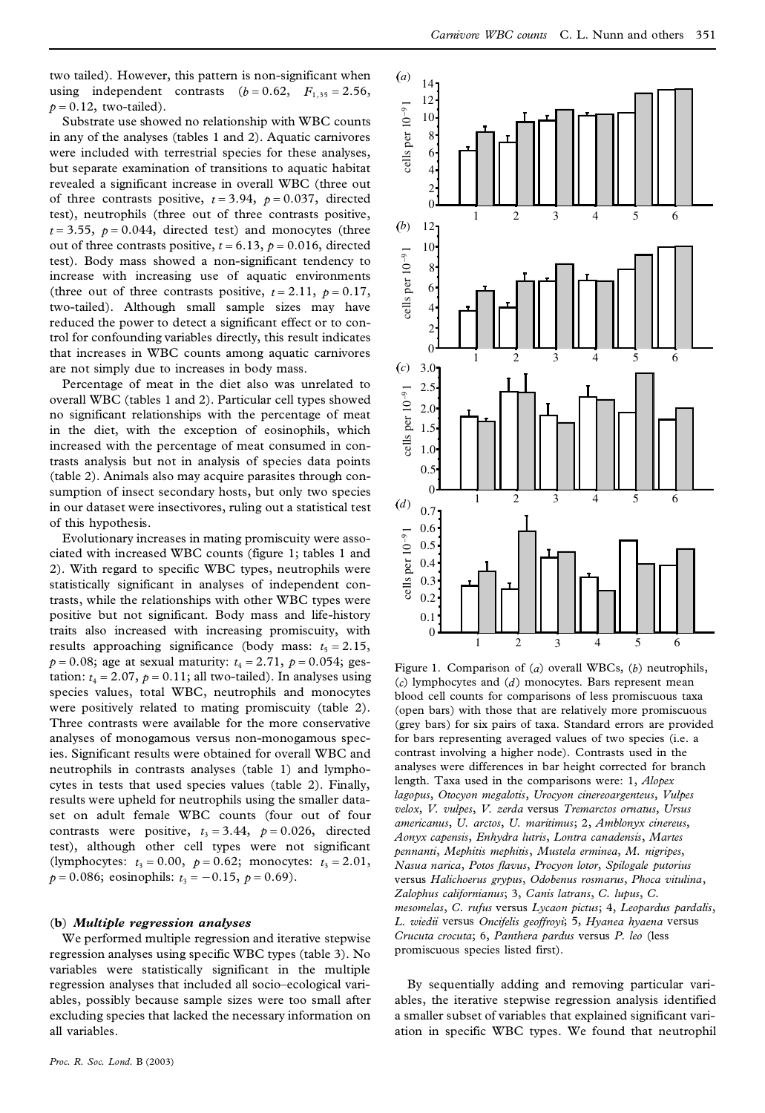two tailed). However, this pattern is non-significant when using independent contrasts  $(b = 0.62, F<sub>1.35</sub> = 2.56,$  $p = 0.12$ , two-tailed).

Substrate use showed no relationship with WBC counts in any of the analyses (tables 1 and 2). Aquatic carnivores were included with terrestrial species for these analyses, but separate examination of transitions to aquatic habitat revealed a significant increase in overall WBC (three out of three contrasts positive,  $t = 3.94$ ,  $p = 0.037$ , directed test), neutrophils (three out of three contrasts positive,  $t = 3.55$ ,  $p = 0.044$ , directed test) and monocytes (three out of three contrasts positive,  $t = 6.13$ ,  $p = 0.016$ , directed test). Body mass showed a non-significant tendency to increase with increasing use of aquatic environments (three out of three contrasts positive,  $t = 2.11$ ,  $p = 0.17$ , two-tailed). Although small sample sizes may have reduced the power to detect a significant effect or to control for confounding variables directly, this result indicates that increases in WBC counts among aquatic carnivores are not simply due to increases in body mass.

Percentage of meat in the diet also was unrelated to overall WBC (tables 1 and 2). Particular cell types showed no significant relationships with the percentage of meat in the diet, with the exception of eosinophils, which increased with the percentage of meat consumed in contrasts analysis but not in analysis of species data points (table 2). Animals also may acquire parasites through con sumption of insect secondary hosts, but only two species in our dataset were insectivores, ruling out a statistical test of this hypothesis.

Evolutionary increases in mating promiscuity were asso ciated with increased WBC counts (figure 1; tables 1 and 2). With regard to specific WBC types, neutrophils were statistically significant in analyses of independent contrasts, while the relationships with other WBC types were positive but not significant. Body mass and life-history traits also increased with increasing promiscuity, with results approaching significance (body mass:  $t_5 = 2.15$ ,  $p = 0.08$ ; age at sexual maturity:  $t_4 = 2.71$ ,  $p = 0.054$ ; gestation:  $t_4 = 2.07$ ,  $p = 0.11$ ; all two-tailed). In analyses using species values, total WBC, neutrophils and monocytes were positively related to mating promiscuity (table 2). Three contrasts were available for the more conservative analyses of monogamous versus non-monogamous species. Significant results were obtained for overall WBC and neutrophils in contrasts analyses (table 1) and lymphocytes in tests that used species values (table 2). Finally, results were upheld for neutrophils using the smaller dataset on adult female WBC counts (four out of four contrasts were positive,  $t_3 = 3.44$ ,  $p = 0.026$ , directed test), although other cell types were not significant (lymphocytes:  $t_3 = 0.00$ ,  $p = 0.62$ ; monocytes:  $t_3 = 2.01$ ,  $p = 0.086$ ; eosinophils:  $t_3 = -0.15$ ,  $p = 0.69$ ).

# (**b**) *Multiple regression analyses*

We performed multiple regression and iterative stepwise regression analyses using specific WBC types (table 3). No variables were statistically significant in the multiple regression analyses that included all socio–ecological variables, possibly because sample sizes were too small after excluding species that lacked the necessary information on all variables.



Figure 1. Comparison of (*a*) overall WBCs, (*b*) neutrophils,  $(c)$  lymphocytes and  $(d)$  monocytes. Bars represent mean blood cell counts for comparisons of less promiscuous taxa (open bars) with those that are relatively more promiscuous (grey bars) for six pairs of taxa. Standard errors are provided for bars representing averaged values of two species (i.e. a contrast involving a higher node). Contrasts used in the analyses were differences in bar height corrected for branch length. Taxa used in the comparisons were: 1, *Alopex lagopus*, *Otocyon megalotis*, *Urocyon cinereoargenteus*, *Vulpes velox*, *V. vulpes*, *V. zerda* versus *Tremarctos ornatus*, *Ursus americanus*, *U. arctos*, *U. maritimus*; 2, *Amblonyx cinereus*, *Aonyx capensis*, *Enhydra lutris*, *Lontra canadensis*, *Martes pennanti*, *Mephitis mephitis*, *Mustela erminea*, *M. nigripes*, *Nasua narica*, *Potos flavus*, *Procyon lotor*, *Spilogale putorius* versus *Halichoerus grypus*, *Odobenus rosmarus*, *Phoca vitulina*, *Zalophus californianus*; 3, *Canis latrans*, *C. lupus*, *C. mesomelas*, *C. rufus* versus *Lycaon pictus*; 4, *Leopardus pardalis*, *L. wiedii* versus *Oncifelis geoffroyi*; 5, *Hyanea hyaena* versus *Crucuta crocuta*; 6, *Panthera pardus* versus *P. leo* (less promiscuous species listed first).

By sequentially adding and removing particular variables, the iterative stepwise regression analysis identified a smaller subset of variables that explained significant variation in specific WBC types. We found that neutrophil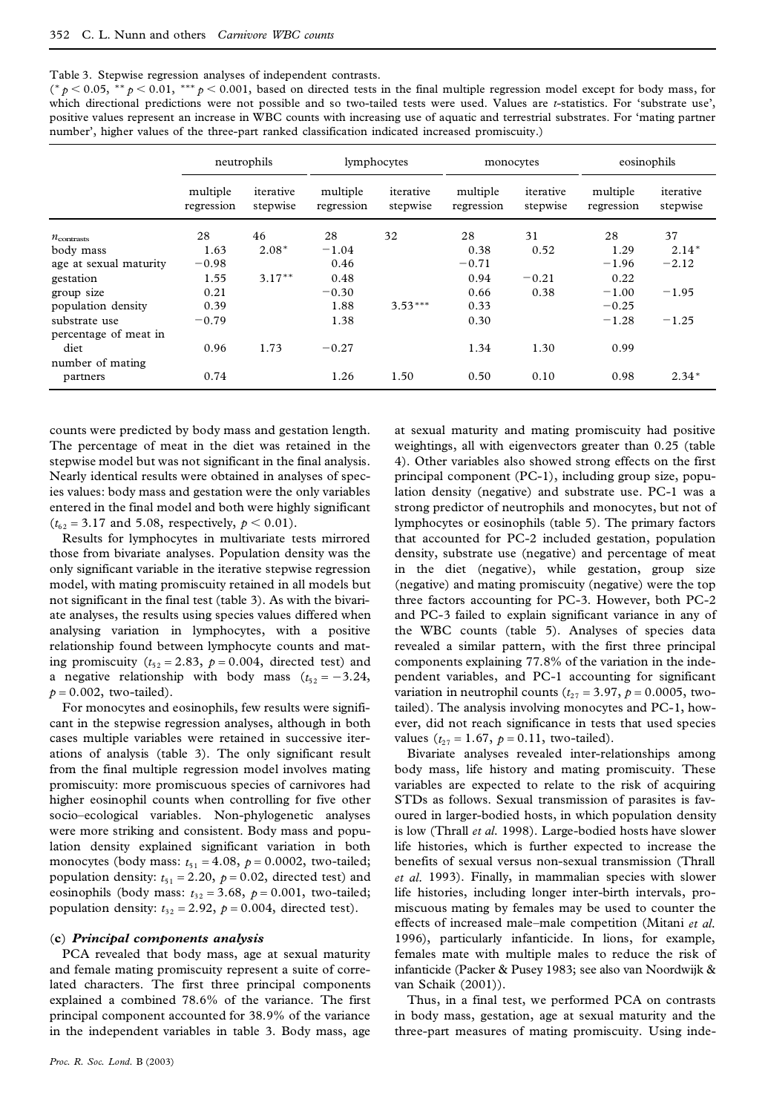|  |  |  |  |  | Table 3. Stepwise regression analyses of independent contrasts. |  |  |
|--|--|--|--|--|-----------------------------------------------------------------|--|--|
|--|--|--|--|--|-----------------------------------------------------------------|--|--|

| (* $p \le 0.05$ , ** $p \le 0.01$ , *** $p \le 0.001$ , based on directed tests in the final multiple regression model except for body mass, for |
|--------------------------------------------------------------------------------------------------------------------------------------------------|
| which directional predictions were not possible and so two-tailed tests were used. Values are $t$ -statistics. For 'substrate use',              |
| positive values represent an increase in WBC counts with increasing use of aquatic and terrestrial substrates. For 'mating partner               |
| number', higher values of the three-part ranked classification indicated increased promiscuity.)                                                 |

|                        | neutrophils            |                       | lymphocytes            |                       | monocytes              |                       | eosinophils            |                       |
|------------------------|------------------------|-----------------------|------------------------|-----------------------|------------------------|-----------------------|------------------------|-----------------------|
|                        | multiple<br>regression | iterative<br>stepwise | multiple<br>regression | iterative<br>stepwise | multiple<br>regression | iterative<br>stepwise | multiple<br>regression | iterative<br>stepwise |
| $n_{\text{contrast}}$  | 28                     | 46                    | 28                     | 32                    | 28                     | 31                    | 28                     | 37                    |
| body mass              | 1.63                   | $2.08*$               | $-1.04$                |                       | 0.38                   | 0.52                  | 1.29                   | $2.14*$               |
| age at sexual maturity | $-0.98$                |                       | 0.46                   |                       | $-0.71$                |                       | $-1.96$                | $-2.12$               |
| gestation              | 1.55                   | $3.17***$             | 0.48                   |                       | 0.94                   | $-0.21$               | 0.22                   |                       |
| group size             | 0.21                   |                       | $-0.30$                |                       | 0.66                   | 0.38                  | $-1.00$                | $-1.95$               |
| population density     | 0.39                   |                       | 1.88                   | $3.53***$             | 0.33                   |                       | $-0.25$                |                       |
| substrate use          | $-0.79$                |                       | 1.38                   |                       | 0.30                   |                       | $-1.28$                | $-1.25$               |
| percentage of meat in  |                        |                       |                        |                       |                        |                       |                        |                       |
| diet                   | 0.96                   | 1.73                  | $-0.27$                |                       | 1.34                   | 1.30                  | 0.99                   |                       |
| number of mating       |                        |                       |                        |                       |                        |                       |                        |                       |
| partners               | 0.74                   |                       | 1.26                   | 1.50                  | 0.50                   | 0.10                  | 0.98                   | $2.34*$               |

counts were predicted by body mass and gestation length. The percentage of meat in the diet was retained in the stepwise model but was not significant in the final analysis. Nearly identical results were obtained in analyses of species values: body mass and gestation were the only variables entered in the final model and both were highly significant  $(t_{62} = 3.17 \text{ and } 5.08,$  respectively,  $p < 0.01$ ).

Results for lymphocytes in multivariate tests mirrored those from bivariate analyses. Population density was the only significant variable in the iterative stepwise regression model, with mating promiscuity retained in all models but not significant in the final test (table 3). As with the bivariate analyses, the results using species values differed when analysing variation in lymphocytes, with a positive relationship found between lymphocyte counts and mating promiscuity  $(t_{52} = 2.83, p = 0.004,$  directed test) and a negative relationship with body mass  $(t_{52} = -3.24,$  $p = 0.002$ , two-tailed).

For monocytes and eosinophils, few results were significant in the stepwise regression analyses, although in both cases multiple variables were retained in successive iterations of analysis (table 3). The only significant result from the final multiple regression model involves mating promiscuity: more promiscuous species of carnivores had higher eosinophil counts when controlling for five other socio–ecological variables. Non-phylogenetic analyses were more striking and consistent. Body mass and population density explained significant variation in both monocytes (body mass:  $t_{51} = 4.08$ ,  $p = 0.0002$ , two-tailed; population density:  $t_{51} = 2.20$ ,  $p = 0.02$ , directed test) and eosinophils (body mass:  $t_{32} = 3.68$ ,  $p = 0.001$ , two-tailed; population density:  $t_{32} = 2.92$ ,  $p = 0.004$ , directed test).

### (**c**) *Principal components analysis*

PCA revealed that body mass, age at sexual maturity and female mating promiscuity represent a suite of correlated characters. The first three principal components explained a combined 78.6% of the variance. The first principal component accounted for 38.9% of the variance in the independent variables in table 3. Body mass, age

at sexual maturity and mating promiscuity had positive weightings, all with eigenvectors greater than 0.25 (table 4). Other variables also showed strong effects on the first principal component (PC-1), including group size, population density (negative) and substrate use. PC-1 was a strong predictor of neutrophils and monocytes, but not of lymphocytes or eosinophils (table 5). The primary factors that accounted for PC-2 included gestation, population density, substrate use (negative) and percentage of meat in the diet (negative), while gestation, group size (negative) and mating promiscuity (negative) were the top three factors accounting for PC-3. However, both PC-2 and PC-3 failed to explain significant variance in any of the WBC counts (table 5). Analyses of species data revealed a similar pattern, with the first three principal components explaining 77.8% of the variation in the independent variables, and PC-1 accounting for significant variation in neutrophil counts ( $t_{27} = 3.97$ ,  $p = 0.0005$ , twotailed). The analysis involving monocytes and PC-1, however, did not reach significance in tests that used species values  $(t_{27} = 1.67, p = 0.11,$  two-tailed).

Bivariate analyses revealed inter-relationships among body mass, life history and mating promiscuity. These variables are expected to relate to the risk of acquiring STDs as follows. Sexual transmission of parasites is favoured in larger-bodied hosts, in which population density is low (Thrall *et al.* 1998). Large-bodied hosts have slower life histories, which is further expected to increase the benefits of sexual versus non-sexual transmission (Thrall *et al.* 1993). Finally, in mammalian species with slower life histories, including longer inter-birth intervals, promiscuous mating by females may be used to counter the effects of increased male–male competition (Mitani *et al.* 1996), particularly infanticide. In lions, for example, females mate with multiple males to reduce the risk of infanticide (Packer & Pusey 1983; see also van Noordwijk & van Schaik (2001)).

Thus, in a final test, we performed PCA on contrasts in body mass, gestation, age at sexual maturity and the three-part measures of mating promiscuity. Using inde-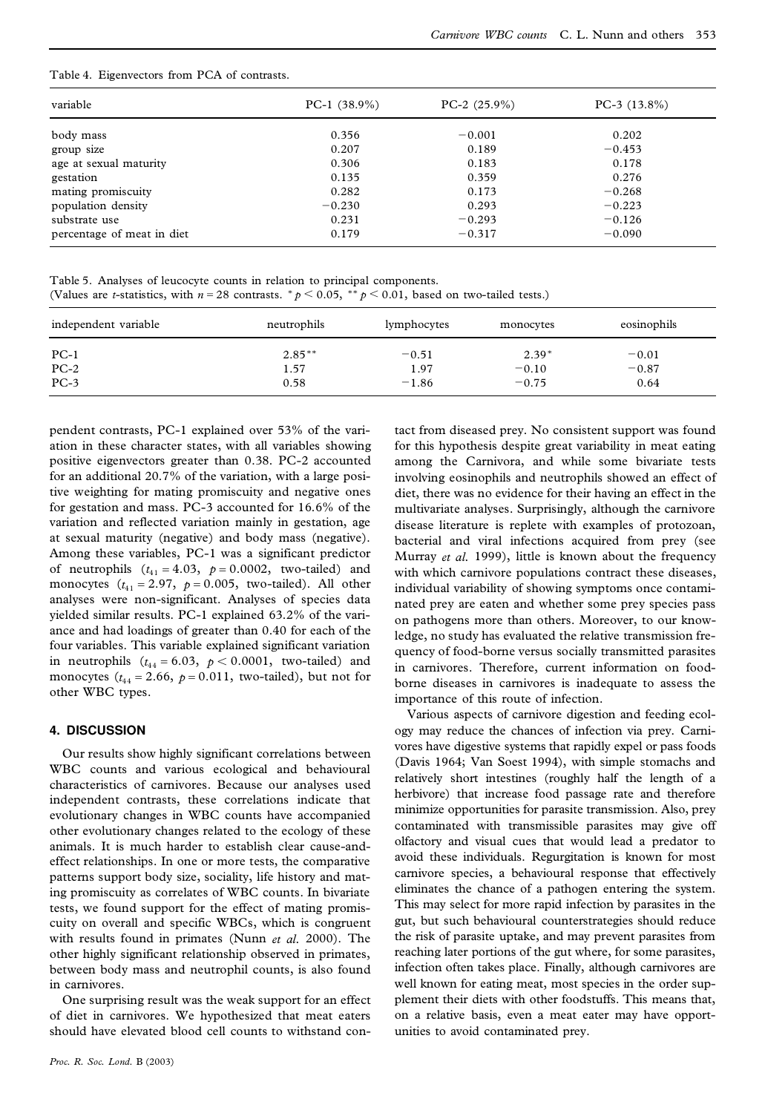| variable                   | PC-1 $(38.9\%)$ | PC-2 $(25.9\%)$ | PC-3 $(13.8\%)$ |  |
|----------------------------|-----------------|-----------------|-----------------|--|
| body mass                  | 0.356           | $-0.001$        | 0.202           |  |
| group size                 | 0.207           | 0.189           | $-0.453$        |  |
| age at sexual maturity     | 0.306           | 0.183           | 0.178           |  |
| gestation                  | 0.135           | 0.359           | 0.276           |  |
| mating promiscuity         | 0.282           | 0.173           | $-0.268$        |  |
|                            | $-0.230$        | 0.293           | $-0.223$        |  |
| substrate use              | 0.231           | $-0.293$        | $-0.126$        |  |
| percentage of meat in diet | 0.179           | $-0.317$        | $-0.090$        |  |
| population density         |                 |                 |                 |  |

#### Table 4. Eigenvectors from PCA of contrasts.

Table 5. Analyses of leucocyte counts in relation to principal components.

| independent variable | neutrophils | lymphocytes | monocytes | eosinophils |
|----------------------|-------------|-------------|-----------|-------------|
| $PC-1$               | $2.85***$   | $-0.51$     | $2.39*$   | $-0.01$     |
| $PC-2$               | 1.57        | 1.97        | $-0.10$   | $-0.87$     |
| $PC-3$               | 0.58        | $-1.86$     | $-0.75$   | 0.64        |

pendent contrasts, PC-1 explained over 53% of the variation in these character states, with all variables showing positive eigenvectors greater than 0.38. PC-2 accounted for an additional 20.7% of the variation, with a large positive weighting for mating promiscuity and negative ones for gestation and mass. PC-3 accounted for 16.6% of the variation and reflected variation mainly in gestation, age at sexual maturity (negative) and body mass (negative). Among these variables, PC-1 was a significant predictor of neutrophils  $(t_{41} = 4.03, p = 0.0002,$  two-tailed) and monocytes  $(t_{41} = 2.97, p = 0.005,$  two-tailed). All other analyses were non-significant. Analyses of species data yielded similar results. PC-1 explained 63.2% of the vari ance and had loadings of greater than 0.40 for each of the four variables. This variable explained significant variation in neutrophils  $(t_{44} = 6.03, p < 0.0001,$  two-tailed) and monocytes  $(t_{44} = 2.66, p = 0.011,$  two-tailed), but not for other WBC types.

# **4. DISCUSSION**

Our results show highly significant correlations between WBC counts and various ecological and behavioural characteristics of carnivores. Because our analyses used independent contrasts, these correlations indicate that evolutionary changes in WBC counts have accompanied other evolutionary changes related to the ecology of these animals. It is much harder to establish clear cause-andeffect relationships. In one or more tests, the comparative patterns support body size, sociality, life history and mating promiscuity as correlates of WBC counts. In bivariate tests, we found support for the effect of mating promiscuity on overall and specific WBCs, which is congruent with results found in primates (Nunn *et al.* 2000). The other highly significant relationship observed in primates, between body mass and neutrophil counts, is also found in carnivores.

One surprising result was the weak support for an effect of diet in carnivores. We hypothesized that meat eaters should have elevated blood cell counts to withstand con-

tact from diseased prey. No consistent support was found for this hypothesis despite great variability in meat eating among the Carnivora, and while some bivariate tests involving eosinophils and neutrophils showed an effect of diet, there was no evidence for their having an effect in the multivariate analyses. Surprisingly, although the carnivore disease literature is replete with examples of protozoan, bacterial and viral infections acquired from prey (see Murray *et al.* 1999), little is known about the frequency with which carnivore populations contract these diseases, individual variability of showing symptoms once contaminated prey are eaten and whether some prey species pass on pathogens more than others. Moreover, to our knowledge, no study has evaluated the relative transmission frequency of food-borne versus socially transmitted parasites in carnivores. Therefore, current information on foodborne diseases in carnivores is inadequate to assess the importance of this route of infection.

Various aspects of carnivore digestion and feeding ecology may reduce the chances of infection via prey. Carni vores have digestive systems that rapidly expel or pass foods (Davis 1964; Van Soest 1994), with simple stomachs and relatively short intestines (roughly half the length of a herbivore) that increase food passage rate and therefore minimize opportunities for parasite transmission. Also, prey contaminated with transmissible parasites may give off olfactory and visual cues that would lead a predator to avoid these individuals. Regurgitation is known for most carnivore species, a behavioural response that effectively eliminates the chance of a pathogen entering the system. This may select for more rapid infection by parasites in the gut, but such behavioural counterstrategies should reduce the risk of parasite uptake, and may prevent parasites from reaching later portions of the gut where, for some parasites, infection often takes place. Finally, although carnivores are well known for eating meat, most species in the order supplement their diets with other foodstuffs. This means that, on a relative basis, even a meat eater may have opportunities to avoid contaminated prey.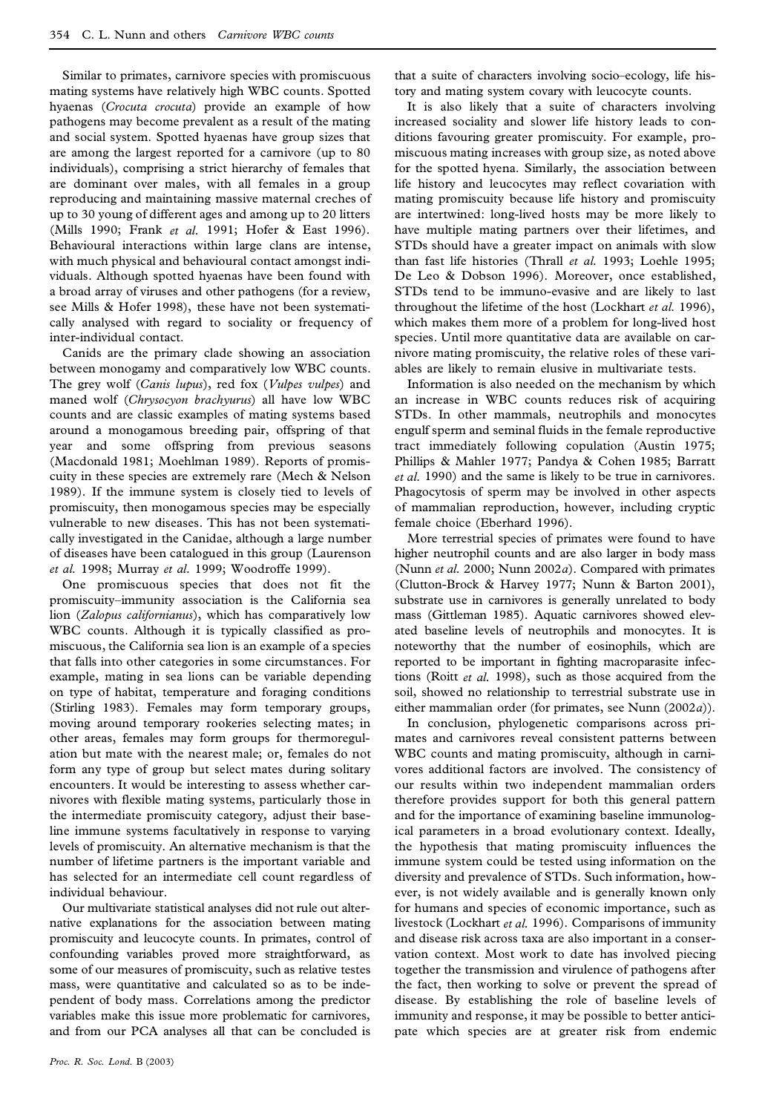Similar to primates, carnivore species with promiscuous mating systems have relatively high WBC counts. Spotted hyaenas (*Crocuta crocuta*) provide an example of how pathogens may become prevalent as a result of the mating and social system. Spotted hyaenas have group sizes that are among the largest reported for a carnivore (up to 80 individuals), comprising a strict hierarchy of females that are dominant over males, with all females in a group reproducing and maintaining massive maternal creches of up to 30 young of different ages and among up to 20 litters (Mills 1990; Frank *et al.* 1991; Hofer & East 1996). Behavioural interactions within large clans are intense, with much physical and behavioural contact amongst individuals. Although spotted hyaenas have been found with a broad array of viruses and other pathogens (for a review, see Mills & Hofer 1998), these have not been systematically analysed with regard to sociality or frequency of inter-individual contact.

Canids are the primary clade showing an association between monogamy and comparatively low WBC counts. The grey wolf (*Canis lupus*), red fox (*Vulpes vulpes*) and maned wolf (*Chrysocyon brachyurus*) all have low WBC counts and are classic examples of mating systems based around a monogamous breeding pair, offspring of that year and some offspring from previous seasons (Macdonald 1981; Moehlman 1989). Reports of promiscuity in these species are extremely rare (Mech & Nelson 1989). If the immune system is closely tied to levels of promiscuity, then monogamous species may be especially vulnerable to new diseases. This has not been systematically investigated in the Canidae, although a large number of diseases have been catalogued in this group (Laurenson *et al.* 1998; Murray *et al.* 1999; Woodroffe 1999).

One promiscuous species that does not fit the promiscuity–immunity association is the California sea lion (*Zalopus californianus*), which has comparatively low WBC counts. Although it is typically classified as promiscuous, the California sea lion is an example of a species that falls into other categories in some circumstances. For example, mating in sea lions can be variable depending on type of habitat, temperature and foraging conditions (Stirling 1983). Females may form temporary groups, moving around temporary rookeries selecting mates; in other areas, females may form groups for thermoregulation but mate with the nearest male; or, females do not form any type of group but select mates during solitary encounters. It would be interesting to assess whether car nivores with flexible mating systems, particularly those in the intermediate promiscuity category, adjust their baseline immune systems facultatively in response to varying levels of promiscuity. An alternative mechanism is that the number of lifetime partners is the important variable and has selected for an intermediate cell count regardless of individual behaviour.

Our multivariate statistical analyses did not rule out alternative explanations for the association between mating promiscuity and leucocyte counts. In primates, control of confounding variables proved more straightforward, as some of our measures of promiscuity, such as relative testes mass, were quantitative and calculated so as to be independent of body mass. Correlations among the predictor variables make this issue more problematic for carnivores, and from our PCA analyses all that can be concluded is

that a suite of characters involving socio–ecology, life history and mating system covary with leucocyte counts.

It is also likely that a suite of characters involving increased sociality and slower life history leads to con ditions favouring greater promiscuity. For example, promiscuous mating increases with group size, as noted above for the spotted hyena. Similarly, the association between life history and leucocytes may reflect covariation with mating promiscuity because life history and promiscuity are intertwined: long-lived hosts may be more likely to have multiple mating partners over their lifetimes, and STDs should have a greater impact on animals with slow than fast life histories (Thrall *et al.* 1993; Loehle 1995; De Leo & Dobson 1996). Moreover, once established, STDs tend to be immuno-evasive and are likely to last throughout the lifetime of the host (Lockhart *et al.* 1996), which makes them more of a problem for long-lived host species. Until more quantitative data are available on car nivore mating promiscuity, the relative roles of these variables are likely to remain elusive in multivariate tests.

Information is also needed on the mechanism by which an increase in WBC counts reduces risk of acquiring STDs. In other mammals, neutrophils and monocytes engulf sperm and seminal fluids in the female reproductive tract immediately following copulation (Austin 1975; Phillips & Mahler 1977; Pandya & Cohen 1985; Barratt *et al.* 1990) and the same is likely to be true in carnivores. Phagocytosis of sperm may be involved in other aspects of mammalian reproduction, however, including cryptic female choice (Eberhard 1996).

More terrestrial species of primates were found to have higher neutrophil counts and are also larger in body mass (Nunn *et al.* 2000; Nunn 2002*a*). Compared with primates (Clutton-Brock & Harvey 1977; Nunn & Barton 2001), substrate use in carnivores is generally unrelated to body mass (Gittleman 1985). Aquatic carnivores showed elevated baseline levels of neutrophils and monocytes. It is noteworthy that the number of eosinophils, which are reported to be important in fighting macroparasite infections (Roitt *et al.* 1998), such as those acquired from the soil, showed no relationship to terrestrial substrate use in either mammalian order (for primates, see Nunn (2002*a*)).

In conclusion, phylogenetic comparisons across primates and carnivores reveal consistent patterns between WBC counts and mating promiscuity, although in carni vores additional factors are involved. The consistency of our results within two independent mammalian orders therefore provides support for both this general pattern and for the importance of examining baseline immunological parameters in a broad evolutionary context. Ideally, the hypothesis that mating promiscuity influences the immune system could be tested using information on the diversity and prevalence of STDs. Such information, however, is not widely available and is generally known only for humans and species of economic importance, such as livestock (Lockhart *et al.* 1996). Comparisons of immunity and disease risk across taxa are also important in a conser vation context. Most work to date has involved piecing together the transmission and virulence of pathogens after the fact, then working to solve or prevent the spread of disease. By establishing the role of baseline levels of immunity and response, it may be possible to better anticipate which species are at greater risk from endemic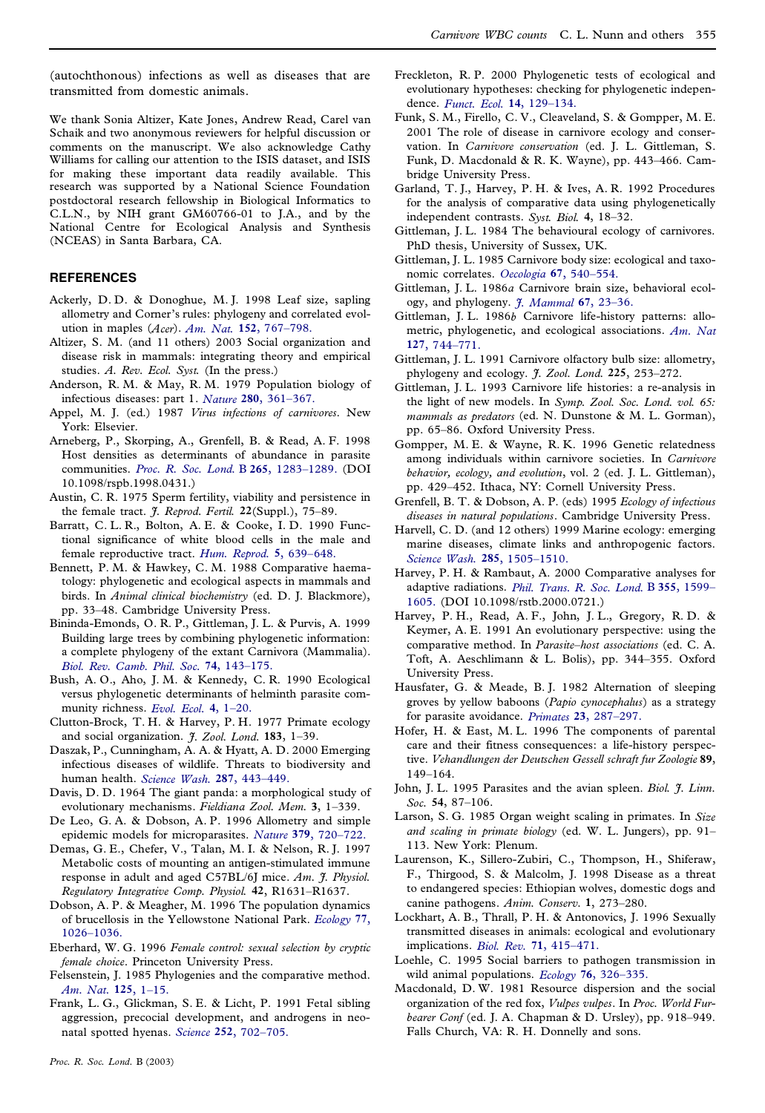(autochthonous) infections as well as diseases that are transmitted from domestic animals.

We thank Sonia Altizer, Kate Jones, Andrew Read, Carel van Schaik and two anonymous reviewers for helpful discussion or comments on the manuscript. We also acknowledge Cathy Williams for calling our attention to the ISIS dataset, and ISIS for making these important data readily available. This research was supported by a National Science Foundation postdoctoral research fellowship in Biological Informatics to C.L.N., by NIH grant GM60766-01 to J.A., and by the National Centre for Ecological Analysis and Synthesis (NCEAS) in Santa Barbara, CA.

# **REFERENCES**

- Ackerly, D. D. & Donoghue, M. J. 1998 Leaf size, sapling allometry and Corner's rules: phylogeny and correlated evolution in maples (*Acer*). *Am. Nat.* **152**, [767–798.](http://pippo.ingentaselect.com/nw=1/rpsv/cgi-bin/linker?ext=a&reqidx=/0003-0147^28^29152L.767[aid=1946955])
- Altizer, S. M. (and 11 others) 2003 Social organization and disease risk in mammals: integrating theory and empirical studies. *A. Rev. Ecol. Syst.* (In the press.)
- Anderson, R. M. & May, R. M. 1979 Population biology of infectious diseases: part 1. *Nature* **280**, [361–367.](http://pippo.ingentaselect.com/nw=1/rpsv/cgi-bin/linker?ext=a&reqidx=/0028-0836^28^29280L.361[aid=529096])
- Appel, M. J. (ed.) 1987 *Virus infections of carnivores*. New York: Elsevier.
- Arneberg, P., Skorping, A., Grenfell, B. & Read, A. F. 1998 Host densities as determinants of abundance in parasite communities. *Proc. R. Soc. Lond.* B **265**, [1283–1289.](http://pippo.ingentaselect.com/nw=1/rpsv/cgi-bin/linker?ext=a&reqidx=/0962-8452^28^29265L.1283[aid=1842108]) (DOI 10.1098/rspb.1998.0431.)
- Austin, C. R. 1975 Sperm fertility, viability and persistence in the female tract. *J. Reprod. Fertil.* **22**(Suppl.), 75–89.
- Barratt, C. L. R., Bolton, A. E. & Cooke, I. D. 1990 Functional significance of white blood cells in the male and female reproductive tract. *Hum. Reprod.* **5**, [639–648.](http://pippo.ingentaselect.com/nw=1/rpsv/cgi-bin/linker?ext=a&reqidx=/0268-1161^28^295L.639[aid=667447])
- Bennett, P. M. & Hawkey, C. M. 1988 Comparative haematology: phylogenetic and ecological aspects in mammals and birds. In *Animal clinical biochemistry* (ed. D. J. Blackmore), pp. 33–48. Cambridge University Press.
- Bininda-Emonds, O. R. P., Gittleman, J. L. & Purvis, A. 1999 Building large trees by combining phylogenetic information: a complete phylogeny of the extant Carnivora (Mammalia). *Biol. Rev. Camb. Phil. Soc.* **74**, [143–175.](http://pippo.ingentaselect.com/nw=1/rpsv/cgi-bin/linker?ext=a&reqidx=/0006-3231^28^2974L.143[aid=1483447])
- Bush, A. O., Aho, J. M. & Kennedy, C. R. 1990 Ecological versus phylogenetic determinants of helminth parasite com munity richness. *Evol. Ecol.* **4**, [1–20.](http://pippo.ingentaselect.com/nw=1/rpsv/cgi-bin/linker?ext=a&reqidx=/0269-7653^28^294L.1[aid=1410380])
- Clutton-Brock, T. H. & Harvey, P. H. 1977 Primate ecology and social organization. *J. Zool. Lond.* **183**, 1–39.
- Daszak, P., Cunningham, A. A. & Hyatt, A. D. 2000 Emerging infectious diseases of wildlife. Threats to biodiversity and human health. *Science Wash.* **287**, [443–449.](http://pippo.ingentaselect.com/nw=1/rpsv/cgi-bin/linker?ext=a&reqidx=/0036-8075^28^29287L.443[aid=1297027])
- Davis, D. D. 1964 The giant panda: a morphological study of evolutionary mechanisms. *Fieldiana Zool. Mem.* **3**, 1–339.
- De Leo, G. A. & Dobson, A. P. 1996 Allometry and simple epidemic models for microparasites. *Nature* **379**, [720–722.](http://pippo.ingentaselect.com/nw=1/rpsv/cgi-bin/linker?ext=a&reqidx=/0028-0836^28^29379L.720[aid=3523228])
- Demas, G. E., Chefer, V., Talan, M. I. & Nelson, R. J. 1997 Metabolic costs of mounting an antigen-stimulated immune response in adult and aged C57BL/6J mice. *Am. J. Physiol. Regulatory Integrative Comp. Physiol.* **42**, R1631–R1637.
- Dobson, A. P. & Meagher, M. 1996 The population dynamics of brucellosis in the Yellowstone National Park. *[Ecology](http://pippo.ingentaselect.com/nw=1/rpsv/cgi-bin/linker?ext=a&reqidx=/0012-9658^28^2977L.1026[aid=3523229])* **77**, [1026–1036.](http://pippo.ingentaselect.com/nw=1/rpsv/cgi-bin/linker?ext=a&reqidx=/0012-9658^28^2977L.1026[aid=3523229])
- Eberhard, W. G. 1996 *Female control: sexual selection by cryptic female choice*. Princeton University Press.
- Felsenstein, J. 1985 Phylogenies and the comparative method. *Am. Nat.* **125**, [1–15.](http://pippo.ingentaselect.com/nw=1/rpsv/cgi-bin/linker?ext=a&reqidx=/0003-0147^28^29125L.1[aid=35717])
- Frank, L. G., Glickman, S. E. & Licht, P. 1991 Fetal sibling aggression, precocial development, and androgens in neo natal spotted hyenas. *Science* **252**, [702–705.](http://pippo.ingentaselect.com/nw=1/rpsv/cgi-bin/linker?ext=a&reqidx=/0036-8075^28^29252L.702[aid=3523230])
- Freckleton, R. P. 2000 Phylogenetic tests of ecological and evolutionary hypotheses: checking for phylogenetic independence. *Funct. Ecol.* **14**, [129–134.](http://pippo.ingentaselect.com/nw=1/rpsv/cgi-bin/linker?ext=a&reqidx=/0269-8463^28^2914L.129[aid=3523231])
- Funk, S. M., Firello, C. V., Cleaveland, S. & Gompper, M. E. 2001 The role of disease in carnivore ecology and conser vation. In *Carnivore conservation* (ed. J. L. Gittleman, S. Funk, D. Macdonald & R.K. Wayne), pp. 443–466. Cambridge University Press.
- Garland, T. J., Harvey, P. H. & Ives, A. R. 1992 Procedures for the analysis of comparative data using phylogenetically independent contrasts. *Syst. Biol.* **4**, 18–32.
- Gittleman, J. L. 1984 The behavioural ecology of carnivores. PhD thesis, University of Sussex, UK.
- Gittleman, J. L. 1985 Carnivore body size: ecological and taxonomic correlates. *Oecologia* **67**, [540–554.](http://pippo.ingentaselect.com/nw=1/rpsv/cgi-bin/linker?ext=a&reqidx=/0029-8549^28^2967L.540[aid=528845])
- Gittleman, J. L. 1986*a* Carnivore brain size, behavioral ecology, and phylogeny. *J. [Mammal](http://pippo.ingentaselect.com/nw=1/rpsv/cgi-bin/linker?ext=a&reqidx=/0022-2372^28^2967L.23[aid=3523233])* **67**, 23–36.
- Gittleman, J. L. 1986*b* Carnivore life-history patterns: allometric, phylogenetic, and ecological associations. *[Am.](http://pippo.ingentaselect.com/nw=1/rpsv/cgi-bin/linker?ext=a&reqidx=/0003-0147^28^29127L.744[aid=528759]) Nat* **127**, [744–771.](http://pippo.ingentaselect.com/nw=1/rpsv/cgi-bin/linker?ext=a&reqidx=/0003-0147^28^29127L.744[aid=528759])
- Gittleman, J. L. 1991 Carnivore olfactory bulb size: allometry, phylogeny and ecology. *J. Zool. Lond.* **225**, 253–272.
- Gittleman, J. L. 1993 Carnivore life histories: a re-analysis in the light of new models. In *Symp. Zool. Soc. Lond. vol. 65: mammals as predators* (ed. N. Dunstone & M. L. Gorman), pp. 65–86. Oxford University Press.
- Gompper, M. E. & Wayne, R. K. 1996 Genetic relatedness among individuals within carnivore societies. In *Carnivore behavior, ecology, and evolution*, vol. 2 (ed. J. L. Gittleman), pp. 429–452. Ithaca, NY: Cornell University Press.
- Grenfell, B. T. & Dobson, A. P. (eds) 1995 *Ecology of infectious diseases in natural populations*. Cambridge University Press.
- Harvell, C. D. (and 12 others) 1999 Marine ecology: emerging marine diseases, climate links and anthropogenic factors. *Science Wash.* **285**, [1505–1510.](http://pippo.ingentaselect.com/nw=1/rpsv/cgi-bin/linker?ext=a&reqidx=/0036-8075^28^29285L.1505[aid=1211884])
- Harvey, P. H. & Rambaut, A. 2000 Comparative analyses for adaptive radiations. *Phil. Trans. R. Soc. Lond.* B **355**, [1599–](http://pippo.ingentaselect.com/nw=1/rpsv/cgi-bin/linker?ext=a&reqidx=/0962-8436^28^29355L.1599[aid=1156331]) [1605.](http://pippo.ingentaselect.com/nw=1/rpsv/cgi-bin/linker?ext=a&reqidx=/0962-8436^28^29355L.1599[aid=1156331]) (DOI 10.1098/rstb.2000.0721.)
- Harvey, P. H., Read, A. F., John, J. L., Gregory, R. D. & Keymer, A. E. 1991 An evolutionary perspective: using the comparative method. In *Parasite–host associations* (ed. C. A. Toft, A. Aeschlimann & L. Bolis), pp. 344–355. Oxford University Press.
- Hausfater, G. & Meade, B. J. 1982 Alternation of sleeping groves by yellow baboons (*Papio cynocephalus*) as a strategy for parasite avoidance. *Primates* **23**, [287–297.](http://pippo.ingentaselect.com/nw=1/rpsv/cgi-bin/linker?ext=a&reqidx=/0032-8332^28^2923L.287[aid=3523235])
- Hofer, H. & East, M. L. 1996 The components of parental care and their fitness consequences: a life-history perspective. *Vehandlungen der Deutschen Gessell schraft fur Zoologie* **89**, 149–164.
- John, J. L. 1995 Parasites and the avian spleen. *Biol. J. Linn. Soc.* **54**, 87–106.
- Larson, S. G. 1985 Organ weight scaling in primates. In *Size and scaling in primate biology* (ed. W. L. Jungers), pp. 91– 113. New York: Plenum.
- Laurenson, K., Sillero-Zubiri, C., Thompson, H., Shiferaw, F., Thirgood, S. & Malcolm, J. 1998 Disease as a threat to endangered species: Ethiopian wolves, domestic dogs and canine pathogens. *Anim. Conserv.* **1**, 273–280.
- Lockhart, A. B., Thrall, P. H. & Antonovics, J. 1996 Sexually transmitted diseases in animals: ecological and evolutionary implications. *Biol. Rev.* **71**, [415–471.](http://pippo.ingentaselect.com/nw=1/rpsv/cgi-bin/linker?ext=a&reqidx=/0006-3231^28^2971L.415[aid=528420])
- Loehle, C. 1995 Social barriers to pathogen transmission in wild animal populations. *Ecology* **76**, [326–335.](http://pippo.ingentaselect.com/nw=1/rpsv/cgi-bin/linker?ext=a&reqidx=/0012-9658^28^2976L.326[aid=528421])
- Macdonald, D. W. 1981 Resource dispersion and the social organization of the red fox, *Vulpes vulpes*. In *Proc. World Furbearer Conf* (ed. J. A. Chapman & D.Ursley), pp. 918–949. Falls Church, VA: R. H. Donnelly and sons.